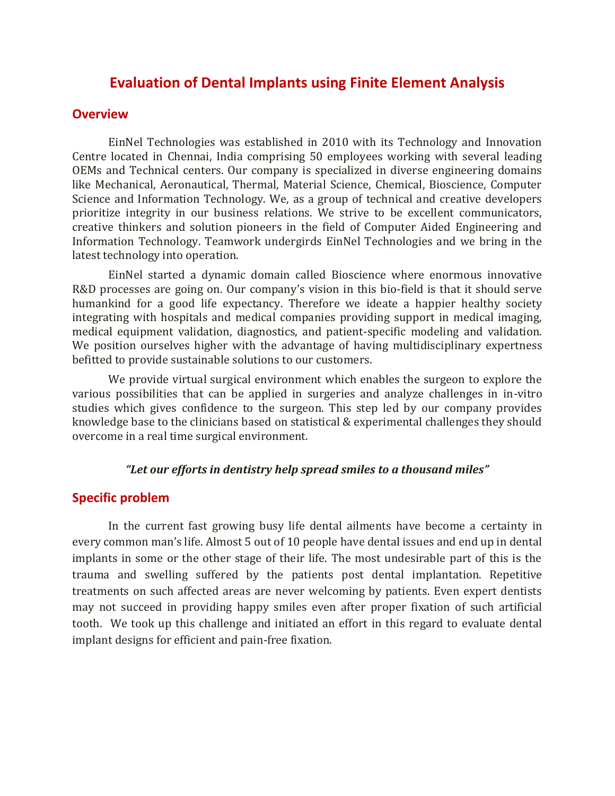# **Evaluation of Dental Implants using Finite Element Analysis**

### **Overview**

EinNel Technologies was established in 2010 with its Technology and Innovation Centre located in Chennai, India comprising 50 employees working with several leading OEMs and Technical centers. Our company is specialized in diverse engineering domains like Mechanical, Aeronautical, Thermal, Material Science, Chemical, Bioscience, Computer Science and Information Technology. We, as a group of technical and creative developers prioritize integrity in our business relations. We strive to be excellent communicators, creative thinkers and solution pioneers in the field of Computer Aided Engineering and Information Technology. Teamwork undergirds EinNel Technologies and we bring in the latest technology into operation.

EinNel started a dynamic domain called Bioscience where enormous innovative R&D processes are going on. Our company's vision in this bio-field is that it should serve humankind for a good life expectancy. Therefore we ideate a happier healthy society integrating with hospitals and medical companies providing support in medical imaging, medical equipment validation, diagnostics, and patient-specific modeling and validation. We position ourselves higher with the advantage of having multidisciplinary expertness befitted to provide sustainable solutions to our customers.

We provide virtual surgical environment which enables the surgeon to explore the various possibilities that can be applied in surgeries and analyze challenges in in-vitro studies which gives confidence to the surgeon. This step led by our company provides knowledge base to the clinicians based on statistical & experimental challenges they should overcome in a real time surgical environment.

#### *"Let our efforts in dentistry help spread smiles to a thousand miles"*

# **Specific problem**

In the current fast growing busy life dental ailments have become a certainty in every common man's life. Almost 5 out of 10 people have dental issues and end up in dental implants in some or the other stage of their life. The most undesirable part of this is the trauma and swelling suffered by the patients post dental implantation. Repetitive treatments on such affected areas are never welcoming by patients. Even expert dentists may not succeed in providing happy smiles even after proper fixation of such artificial tooth. We took up this challenge and initiated an effort in this regard to evaluate dental implant designs for efficient and pain-free fixation.